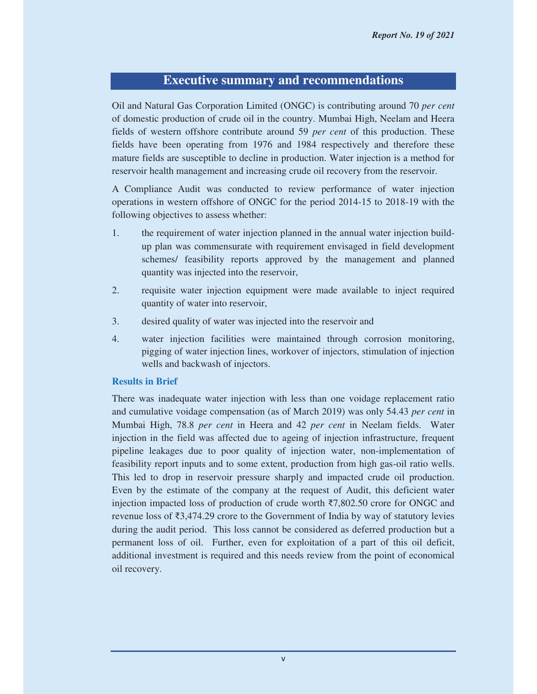# **Executive summary and recommendations**

Oil and Natural Gas Corporation Limited (ONGC) is contributing around 70 *per cent* of domestic production of crude oil in the country. Mumbai High, Neelam and Heera fields of western offshore contribute around 59 *per cent* of this production. These fields have been operating from 1976 and 1984 respectively and therefore these mature fields are susceptible to decline in production. Water injection is a method for reservoir health management and increasing crude oil recovery from the reservoir.

A Compliance Audit was conducted to review performance of water injection operations in western offshore of ONGC for the period 2014-15 to 2018-19 with the following objectives to assess whether:

- 1. the requirement of water injection planned in the annual water injection buildup plan was commensurate with requirement envisaged in field development schemes/ feasibility reports approved by the management and planned quantity was injected into the reservoir,
- 2. requisite water injection equipment were made available to inject required quantity of water into reservoir,
- 3. desired quality of water was injected into the reservoir and
- 4. water injection facilities were maintained through corrosion monitoring, pigging of water injection lines, workover of injectors, stimulation of injection wells and backwash of injectors.

#### **Results in Brief**

There was inadequate water injection with less than one voidage replacement ratio and cumulative voidage compensation (as of March 2019) was only 54.43 *per cent* in Mumbai High, 78.8 *per cent* in Heera and 42 *per cent* in Neelam fields. Water injection in the field was affected due to ageing of injection infrastructure, frequent pipeline leakages due to poor quality of injection water, non-implementation of feasibility report inputs and to some extent, production from high gas-oil ratio wells. This led to drop in reservoir pressure sharply and impacted crude oil production. Even by the estimate of the company at the request of Audit, this deficient water injection impacted loss of production of crude worth  $\overline{37,802.50}$  crore for ONGC and revenue loss of  $\bar{\mathfrak{z}}3,474.29$  crore to the Government of India by way of statutory levies during the audit period. This loss cannot be considered as deferred production but a permanent loss of oil. Further, even for exploitation of a part of this oil deficit, additional investment is required and this needs review from the point of economical oil recovery.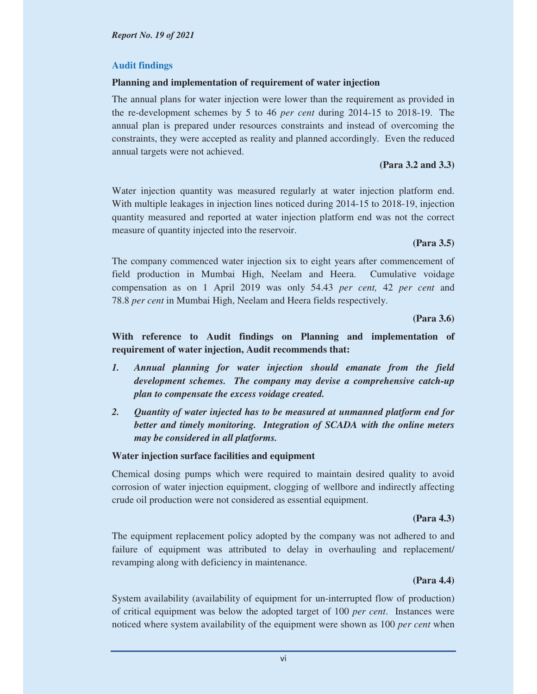### **Audit findings**

### **Planning and implementation of requirement of water injection**

The annual plans for water injection were lower than the requirement as provided in the re-development schemes by 5 to 46 *per cent* during 2014-15 to 2018-19. The annual plan is prepared under resources constraints and instead of overcoming the constraints, they were accepted as reality and planned accordingly. Even the reduced annual targets were not achieved.

### **(Para 3.2 and 3.3)**

Water injection quantity was measured regularly at water injection platform end. With multiple leakages in injection lines noticed during 2014-15 to 2018-19, injection quantity measured and reported at water injection platform end was not the correct measure of quantity injected into the reservoir.

# **(Para 3.5)**

The company commenced water injection six to eight years after commencement of field production in Mumbai High, Neelam and Heera. Cumulative voidage compensation as on 1 April 2019 was only 54.43 *per cent,* 42 *per cent* and 78.8 *per cent* in Mumbai High, Neelam and Heera fields respectively.

**(Para 3.6)** 

# **With reference to Audit findings on Planning and implementation of requirement of water injection, Audit recommends that:**

- *1. Annual planning for water injection should emanate from the field development schemes. The company may devise a comprehensive catch-up plan to compensate the excess voidage created.*
- *2. Quantity of water injected has to be measured at unmanned platform end for better and timely monitoring. Integration of SCADA with the online meters may be considered in all platforms.*

# **Water injection surface facilities and equipment**

Chemical dosing pumps which were required to maintain desired quality to avoid corrosion of water injection equipment, clogging of wellbore and indirectly affecting crude oil production were not considered as essential equipment.

### **(Para 4.3)**

The equipment replacement policy adopted by the company was not adhered to and failure of equipment was attributed to delay in overhauling and replacement/ revamping along with deficiency in maintenance.

# **(Para 4.4)**

System availability (availability of equipment for un-interrupted flow of production) of critical equipment was below the adopted target of 100 *per cent*. Instances were noticed where system availability of the equipment were shown as 100 *per cent* when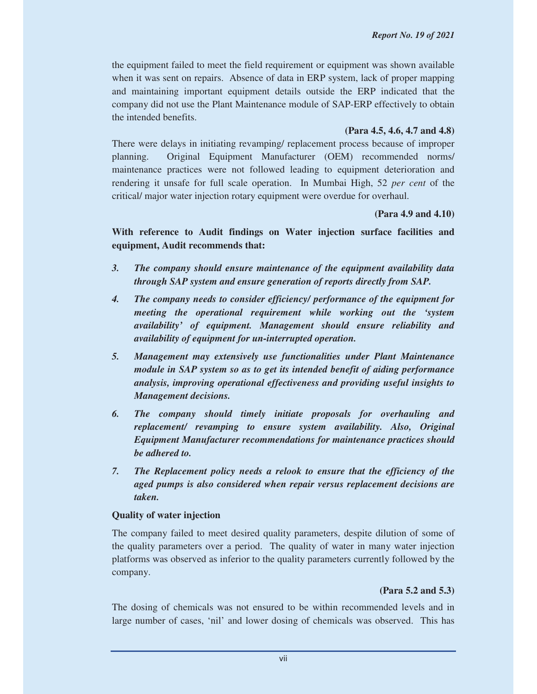the equipment failed to meet the field requirement or equipment was shown available when it was sent on repairs. Absence of data in ERP system, lack of proper mapping and maintaining important equipment details outside the ERP indicated that the company did not use the Plant Maintenance module of SAP-ERP effectively to obtain the intended benefits.

# **(Para 4.5, 4.6, 4.7 and 4.8)**

There were delays in initiating revamping/ replacement process because of improper planning. Original Equipment Manufacturer (OEM) recommended norms/ maintenance practices were not followed leading to equipment deterioration and rendering it unsafe for full scale operation. In Mumbai High, 52 *per cent* of the critical/ major water injection rotary equipment were overdue for overhaul.

**(Para 4.9 and 4.10)** 

**With reference to Audit findings on Water injection surface facilities and equipment, Audit recommends that:** 

- *3. The company should ensure maintenance of the equipment availability data through SAP system and ensure generation of reports directly from SAP.*
- *4. The company needs to consider efficiency/ performance of the equipment for meeting the operational requirement while working out the 'system availability' of equipment. Management should ensure reliability and availability of equipment for un-interrupted operation.*
- *5. Management may extensively use functionalities under Plant Maintenance module in SAP system so as to get its intended benefit of aiding performance analysis, improving operational effectiveness and providing useful insights to Management decisions.*
- *6. The company should timely initiate proposals for overhauling and replacement/ revamping to ensure system availability. Also, Original Equipment Manufacturer recommendations for maintenance practices should be adhered to.*
- *7. The Replacement policy needs a relook to ensure that the efficiency of the aged pumps is also considered when repair versus replacement decisions are taken.*

# **Quality of water injection**

The company failed to meet desired quality parameters, despite dilution of some of the quality parameters over a period. The quality of water in many water injection platforms was observed as inferior to the quality parameters currently followed by the company.

# **(Para 5.2 and 5.3)**

The dosing of chemicals was not ensured to be within recommended levels and in large number of cases, 'nil' and lower dosing of chemicals was observed. This has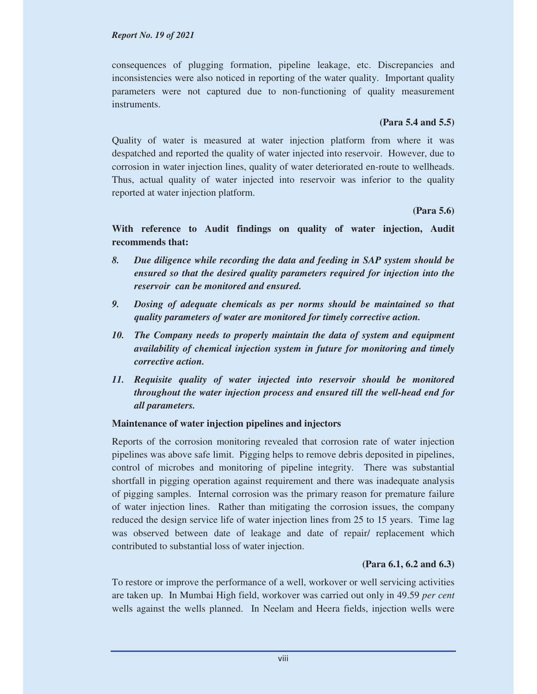#### *Report No. 19 of 2021*

consequences of plugging formation, pipeline leakage, etc. Discrepancies and inconsistencies were also noticed in reporting of the water quality. Important quality parameters were not captured due to non-functioning of quality measurement instruments.

### **(Para 5.4 and 5.5)**

Quality of water is measured at water injection platform from where it was despatched and reported the quality of water injected into reservoir. However, due to corrosion in water injection lines, quality of water deteriorated en-route to wellheads. Thus, actual quality of water injected into reservoir was inferior to the quality reported at water injection platform.

#### **(Para 5.6)**

# **With reference to Audit findings on quality of water injection, Audit recommends that:**

- *8. Due diligence while recording the data and feeding in SAP system should be ensured so that the desired quality parameters required for injection into the reservoir can be monitored and ensured.*
- *9. Dosing of adequate chemicals as per norms should be maintained so that quality parameters of water are monitored for timely corrective action.*
- *10. The Company needs to properly maintain the data of system and equipment availability of chemical injection system in future for monitoring and timely corrective action.*
- *11. Requisite quality of water injected into reservoir should be monitored throughout the water injection process and ensured till the well-head end for all parameters.*

### **Maintenance of water injection pipelines and injectors**

Reports of the corrosion monitoring revealed that corrosion rate of water injection pipelines was above safe limit. Pigging helps to remove debris deposited in pipelines, control of microbes and monitoring of pipeline integrity. There was substantial shortfall in pigging operation against requirement and there was inadequate analysis of pigging samples.Internal corrosion was the primary reason for premature failure of water injection lines. Rather than mitigating the corrosion issues, the company reduced the design service life of water injection lines from 25 to 15 years. Time lag was observed between date of leakage and date of repair/ replacement which contributed to substantial loss of water injection.

# **(Para 6.1, 6.2 and 6.3)**

To restore or improve the performance of a well, workover or well servicing activities are taken up. In Mumbai High field, workover was carried out only in 49.59 *per cent* wells against the wells planned. In Neelam and Heera fields, injection wells were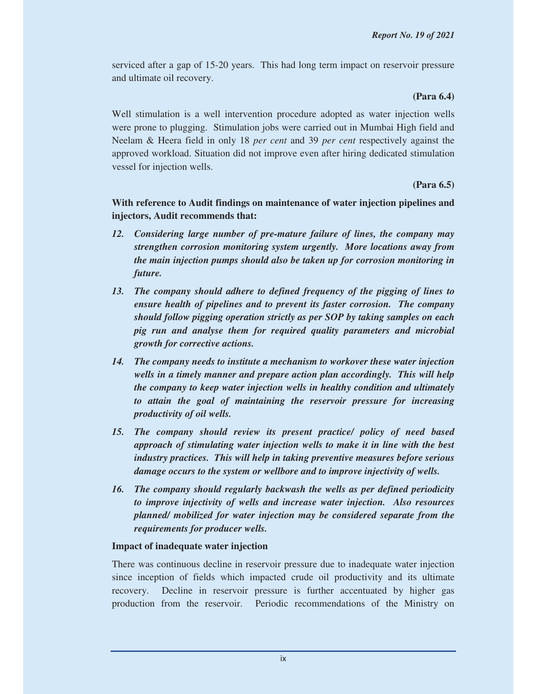serviced after a gap of 15-20 years. This had long term impact on reservoir pressure and ultimate oil recovery.

### **(Para 6.4)**

Well stimulation is a well intervention procedure adopted as water injection wells were prone to plugging. Stimulation jobs were carried out in Mumbai High field and Neelam & Heera field in only 18 *per cent* and 39 *per cent* respectively against the approved workload. Situation did not improve even after hiring dedicated stimulation vessel for injection wells.

# **(Para 6.5)**

**With reference to Audit findings on maintenance of water injection pipelines and injectors, Audit recommends that:** 

- *12. Considering large number of pre-mature failure of lines, the company may strengthen corrosion monitoring system urgently. More locations away from the main injection pumps should also be taken up for corrosion monitoring in future.*
- *13. The company should adhere to defined frequency of the pigging of lines to ensure health of pipelines and to prevent its faster corrosion. The company should follow pigging operation strictly as per SOP by taking samples on each pig run and analyse them for required quality parameters and microbial growth for corrective actions.*
- *14. The company needs to institute a mechanism to workover these water injection wells in a timely manner and prepare action plan accordingly. This will help the company to keep water injection wells in healthy condition and ultimately to attain the goal of maintaining the reservoir pressure for increasing productivity of oil wells.*
- *15. The company should review its present practice/ policy of need based approach of stimulating water injection wells to make it in line with the best industry practices. This will help in taking preventive measures before serious damage occurs to the system or wellbore and to improve injectivity of wells.*
- *16. The company should regularly backwash the wells as per defined periodicity to improve injectivity of wells and increase water injection. Also resources planned/ mobilized for water injection may be considered separate from the requirements for producer wells.*

# **Impact of inadequate water injection**

There was continuous decline in reservoir pressure due to inadequate water injection since inception of fields which impacted crude oil productivity and its ultimate recovery. Decline in reservoir pressure is further accentuated by higher gas production from the reservoir. Periodic recommendations of the Ministry on